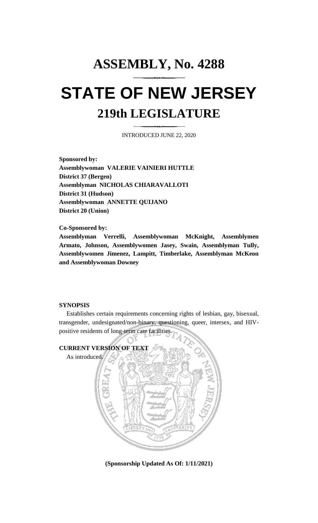# **ASSEMBLY, No. 4288 STATE OF NEW JERSEY 219th LEGISLATURE**

INTRODUCED JUNE 22, 2020

**Sponsored by: Assemblywoman VALERIE VAINIERI HUTTLE District 37 (Bergen) Assemblyman NICHOLAS CHIARAVALLOTI District 31 (Hudson) Assemblywoman ANNETTE QUIJANO District 20 (Union)**

**Co-Sponsored by:**

**Assemblyman Verrelli, Assemblywoman McKnight, Assemblymen Armato, Johnson, Assemblywomen Jasey, Swain, Assemblyman Tully, Assemblywomen Jimenez, Lampitt, Timberlake, Assemblyman McKeon and Assemblywoman Downey**

#### **SYNOPSIS**

Establishes certain requirements concerning rights of lesbian, gay, bisexual, transgender, undesignated/non-binary, questioning, queer, intersex, and HIVpositive residents of long-term care facilities.



**(Sponsorship Updated As Of: 1/11/2021)**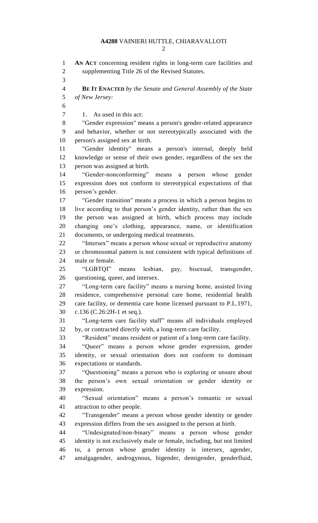**AN ACT** concerning resident rights in long-term care facilities and supplementing Title 26 of the Revised Statutes. **BE IT ENACTED** *by the Senate and General Assembly of the State of New Jersey:* 7 1. As used in this act: "Gender expression" means a person's gender-related appearance and behavior, whether or not stereotypically associated with the person's assigned sex at birth. "Gender identity" means a person's internal, deeply held knowledge or sense of their own gender, regardless of the sex the person was assigned at birth. "Gender-nonconforming" means a person whose gender expression does not conform to stereotypical expectations of that person's gender. "Gender transition" means a process in which a person begins to live according to that person's gender identity, rather than the sex the person was assigned at birth, which process may include changing one's clothing, appearance, name, or identification documents, or undergoing medical treatments. "Intersex" means a person whose sexual or reproductive anatomy or chromosomal pattern is not consistent with typical definitions of male or female. "LGBTQI" means lesbian, gay, bisexual, transgender, questioning, queer, and intersex. "Long-term care facility" means a nursing home, assisted living residence, comprehensive personal care home, residential health care facility, or dementia care home licensed pursuant to P.L.1971, c.136 (C.26:2H-1 et seq.). "Long-term care facility staff" means all individuals employed by, or contracted directly with, a long-term care facility. "Resident" means resident or patient of a long-term care facility. "Queer" means a person whose gender expression, gender identity, or sexual orientation does not conform to dominant expectations or standards. "Questioning" means a person who is exploring or unsure about the person's own sexual orientation or gender identity or expression. "Sexual orientation" means a person's romantic or sexual attraction to other people. "Transgender" means a person whose gender identity or gender expression differs from the sex assigned to the person at birth. "Undesignated/non-binary" means a person whose gender identity is not exclusively male or female, including, but not limited to, a person whose gender identity is intersex, agender, amalgagender, androgynous, bigender, demigender, genderfluid,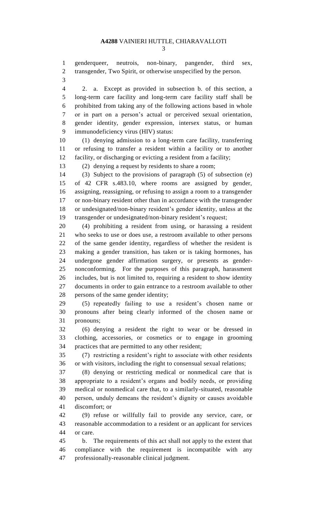genderqueer, neutrois, non-binary, pangender, third sex, transgender, Two Spirit, or otherwise unspecified by the person.

 2. a. Except as provided in subsection b. of this section, a long-term care facility and long-term care facility staff shall be prohibited from taking any of the following actions based in whole or in part on a person's actual or perceived sexual orientation, gender identity, gender expression, intersex status, or human immunodeficiency virus (HIV) status:

 (1) denying admission to a long-term care facility, transferring or refusing to transfer a resident within a facility or to another facility, or discharging or evicting a resident from a facility;

(2) denying a request by residents to share a room;

 (3) Subject to the provisions of paragraph (5) of subsection (e) of 42 CFR s.483.10, where rooms are assigned by gender, assigning, reassigning, or refusing to assign a room to a transgender or non-binary resident other than in accordance with the transgender or undesignated/non-binary resident's gender identity, unless at the transgender or undesignated/non-binary resident's request;

 (4) prohibiting a resident from using, or harassing a resident who seeks to use or does use, a restroom available to other persons of the same gender identity, regardless of whether the resident is making a gender transition, has taken or is taking hormones, has undergone gender affirmation surgery, or presents as gender- nonconforming. For the purposes of this paragraph, harassment includes, but is not limited to, requiring a resident to show identity documents in order to gain entrance to a restroom available to other persons of the same gender identity;

 (5) repeatedly failing to use a resident's chosen name or pronouns after being clearly informed of the chosen name or pronouns;

 (6) denying a resident the right to wear or be dressed in clothing, accessories, or cosmetics or to engage in grooming practices that are permitted to any other resident;

 (7) restricting a resident's right to associate with other residents or with visitors, including the right to consensual sexual relations;

 (8) denying or restricting medical or nonmedical care that is appropriate to a resident's organs and bodily needs, or providing medical or nonmedical care that, to a similarly-situated, reasonable person, unduly demeans the resident's dignity or causes avoidable discomfort; or

 (9) refuse or willfully fail to provide any service, care, or reasonable accommodation to a resident or an applicant for services or care.

 b. The requirements of this act shall not apply to the extent that compliance with the requirement is incompatible with any professionally-reasonable clinical judgment.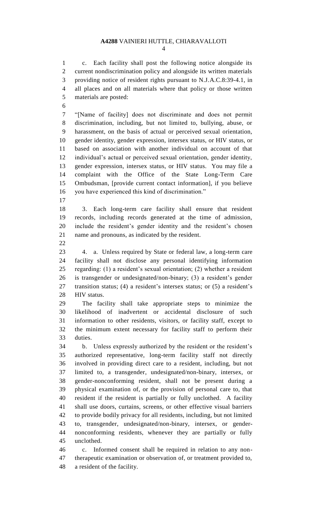c. Each facility shall post the following notice alongside its current nondiscrimination policy and alongside its written materials providing notice of resident rights pursuant to N.J.A.C.8:39-4.1, in all places and on all materials where that policy or those written materials are posted:

 "[Name of facility] does not discriminate and does not permit discrimination, including, but not limited to, bullying, abuse, or harassment, on the basis of actual or perceived sexual orientation, gender identity, gender expression, intersex status, or HIV status, or based on association with another individual on account of that individual's actual or perceived sexual orientation, gender identity, gender expression, intersex status, or HIV status. You may file a complaint with the Office of the State Long-Term Care Ombudsman, [provide current contact information], if you believe you have experienced this kind of discrimination."

 3. Each long-term care facility shall ensure that resident records, including records generated at the time of admission, include the resident's gender identity and the resident's chosen name and pronouns, as indicated by the resident.

 4. a. Unless required by State or federal law, a long-term care facility shall not disclose any personal identifying information regarding: (1) a resident's sexual orientation; (2) whether a resident is transgender or undesignated/non-binary; (3) a resident's gender transition status; (4) a resident's intersex status; or (5) a resident's HIV status.

 The facility shall take appropriate steps to minimize the likelihood of inadvertent or accidental disclosure of such information to other residents, visitors, or facility staff, except to the minimum extent necessary for facility staff to perform their duties.

 b. Unless expressly authorized by the resident or the resident's authorized representative, long-term facility staff not directly involved in providing direct care to a resident, including, but not limited to, a transgender, undesignated/non-binary, intersex, or gender-nonconforming resident, shall not be present during a physical examination of, or the provision of personal care to, that resident if the resident is partially or fully unclothed. A facility shall use doors, curtains, screens, or other effective visual barriers to provide bodily privacy for all residents, including, but not limited to, transgender, undesignated/non-binary, intersex, or gender- nonconforming residents, whenever they are partially or fully unclothed.

 c. Informed consent shall be required in relation to any non- therapeutic examination or observation of, or treatment provided to, a resident of the facility.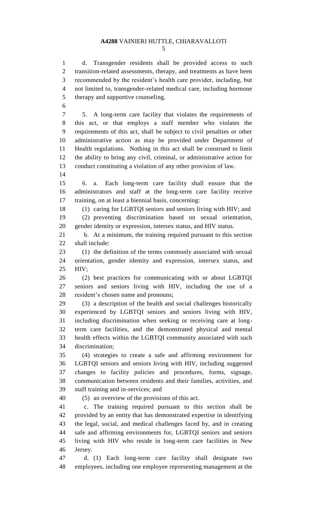d. Transgender residents shall be provided access to such transition-related assessments, therapy, and treatments as have been recommended by the resident's health care provider, including, but not limited to, transgender-related medical care, including hormone therapy and supportive counseling.

 5. A long-term care facility that violates the requirements of this act, or that employs a staff member who violates the requirements of this act, shall be subject to civil penalties or other administrative action as may be provided under Department of Health regulations. Nothing in this act shall be construed to limit the ability to bring any civil, criminal, or administrative action for conduct constituting a violation of any other provision of law.

 6. a. Each long-term care facility shall ensure that the administrators and staff at the long-term care facility receive training, on at least a biennial basis, concerning:

 (1) caring for LGBTQI seniors and seniors living with HIV; and (2) preventing discrimination based on sexual orientation, gender identity or expression, intersex status, and HIV status.

 b. At a minimum, the training required pursuant to this section shall include:

 (1) the definition of the terms commonly associated with sexual orientation, gender identity and expression, intersex status, and HIV;

 (2) best practices for communicating with or about LGBTQI seniors and seniors living with HIV, including the use of a resident's chosen name and pronouns;

 (3) a description of the health and social challenges historically experienced by LGBTQI seniors and seniors living with HIV, including discrimination when seeking or receiving care at long- term care facilities, and the demonstrated physical and mental health effects within the LGBTQI community associated with such discrimination;

 (4) strategies to create a safe and affirming environment for LGBTQI seniors and seniors living with HIV, including suggested changes to facility policies and procedures, forms, signage, communication between residents and their families, activities, and staff training and in-services; and

(5) an overview of the provisions of this act.

 c. The training required pursuant to this section shall be provided by an entity that has demonstrated expertise in identifying the legal, social, and medical challenges faced by, and in creating safe and affirming environments for, LGBTQI seniors and seniors living with HIV who reside in long-term care facilities in New Jersey.

 d. (1) Each long-term care facility shall designate two employees, including one employee representing management at the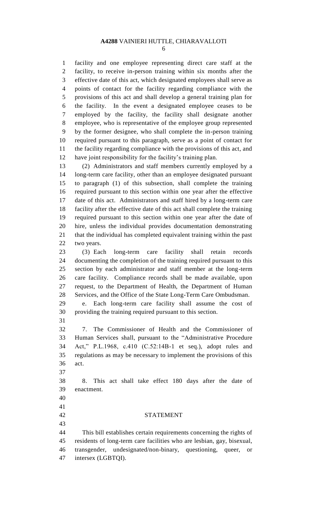facility and one employee representing direct care staff at the facility, to receive in-person training within six months after the effective date of this act, which designated employees shall serve as points of contact for the facility regarding compliance with the provisions of this act and shall develop a general training plan for the facility. In the event a designated employee ceases to be employed by the facility, the facility shall designate another employee, who is representative of the employee group represented by the former designee, who shall complete the in-person training required pursuant to this paragraph, serve as a point of contact for the facility regarding compliance with the provisions of this act, and have joint responsibility for the facility's training plan.

 (2) Administrators and staff members currently employed by a long-term care facility, other than an employee designated pursuant to paragraph (1) of this subsection, shall complete the training required pursuant to this section within one year after the effective date of this act. Administrators and staff hired by a long-term care facility after the effective date of this act shall complete the training required pursuant to this section within one year after the date of hire, unless the individual provides documentation demonstrating that the individual has completed equivalent training within the past two years.

 (3) Each long-term care facility shall retain records documenting the completion of the training required pursuant to this section by each administrator and staff member at the long-term care facility. Compliance records shall be made available, upon request, to the Department of Health, the Department of Human Services, and the Office of the State Long-Term Care Ombudsman.

 e. Each long-term care facility shall assume the cost of providing the training required pursuant to this section.

 7. The Commissioner of Health and the Commissioner of Human Services shall, pursuant to the "Administrative Procedure Act," P.L.1968, c.410 (C.52:14B-1 et seq.), adopt rules and regulations as may be necessary to implement the provisions of this act.

 8. This act shall take effect 180 days after the date of enactment.

- 
- 

## STATEMENT

 This bill establishes certain requirements concerning the rights of residents of long-term care facilities who are lesbian, gay, bisexual, transgender, undesignated/non-binary, questioning, queer, or intersex (LGBTQI).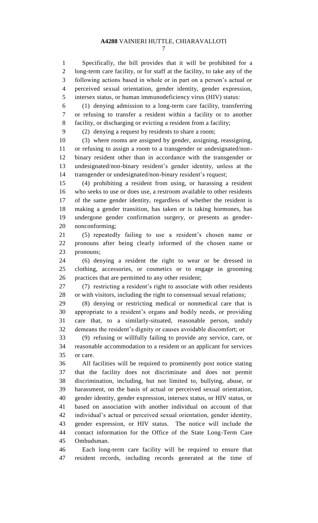Specifically, the bill provides that it will be prohibited for a long-term care facility, or for staff at the facility, to take any of the following actions based in whole or in part on a person's actual or perceived sexual orientation, gender identity, gender expression, intersex status, or human immunodeficiency virus (HIV) status:

 (1) denying admission to a long-term care facility, transferring or refusing to transfer a resident within a facility or to another facility, or discharging or evicting a resident from a facility;

(2) denying a request by residents to share a room;

 (3) where rooms are assigned by gender, assigning, reassigning, or refusing to assign a room to a transgender or undesignated/non- binary resident other than in accordance with the transgender or undesignated/non-binary resident's gender identity, unless at the transgender or undesignated/non-binary resident's request;

 (4) prohibiting a resident from using, or harassing a resident who seeks to use or does use, a restroom available to other residents of the same gender identity, regardless of whether the resident is making a gender transition, has taken or is taking hormones, has undergone gender confirmation surgery, or presents as gender-nonconforming;

 (5) repeatedly failing to use a resident's chosen name or pronouns after being clearly informed of the chosen name or pronouns;

 (6) denying a resident the right to wear or be dressed in clothing, accessories, or cosmetics or to engage in grooming practices that are permitted to any other resident;

 (7) restricting a resident's right to associate with other residents or with visitors, including the right to consensual sexual relations;

 (8) denying or restricting medical or nonmedical care that is appropriate to a resident's organs and bodily needs, or providing care that, to a similarly-situated, reasonable person, unduly demeans the resident's dignity or causes avoidable discomfort; or

 (9) refusing or willfully failing to provide any service, care, or reasonable accommodation to a resident or an applicant for services or care.

 All facilities will be required to prominently post notice stating that the facility does not discriminate and does not permit discrimination, including, but not limited to, bullying, abuse, or harassment, on the basis of actual or perceived sexual orientation, gender identity, gender expression, intersex status, or HIV status, or based on association with another individual on account of that individual's actual or perceived sexual orientation, gender identity, gender expression, or HIV status. The notice will include the contact information for the Office of the State Long-Term Care Ombudsman.

 Each long-term care facility will be required to ensure that resident records, including records generated at the time of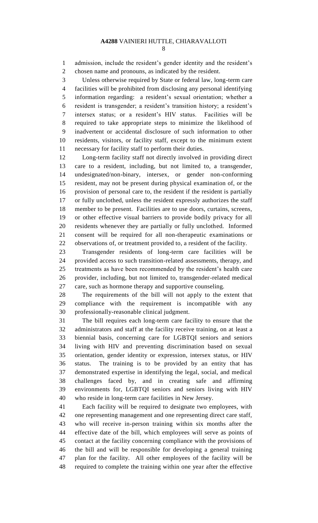admission, include the resident's gender identity and the resident's chosen name and pronouns, as indicated by the resident.

 Unless otherwise required by State or federal law, long-term care facilities will be prohibited from disclosing any personal identifying information regarding: a resident's sexual orientation; whether a resident is transgender; a resident's transition history; a resident's intersex status; or a resident's HIV status. Facilities will be required to take appropriate steps to minimize the likelihood of inadvertent or accidental disclosure of such information to other residents, visitors, or facility staff, except to the minimum extent necessary for facility staff to perform their duties.

 Long-term facility staff not directly involved in providing direct care to a resident, including, but not limited to, a transgender, undesignated/non-binary, intersex, or gender non-conforming resident, may not be present during physical examination of, or the provision of personal care to, the resident if the resident is partially or fully unclothed, unless the resident expressly authorizes the staff member to be present. Facilities are to use doors, curtains, screens, or other effective visual barriers to provide bodily privacy for all residents whenever they are partially or fully unclothed. Informed consent will be required for all non-therapeutic examinations or observations of, or treatment provided to, a resident of the facility.

 Transgender residents of long-term care facilities will be provided access to such transition-related assessments, therapy, and treatments as have been recommended by the resident's health care provider, including, but not limited to, transgender-related medical care, such as hormone therapy and supportive counseling.

 The requirements of the bill will not apply to the extent that compliance with the requirement is incompatible with any professionally-reasonable clinical judgment.

 The bill requires each long-term care facility to ensure that the administrators and staff at the facility receive training, on at least a biennial basis, concerning care for LGBTQI seniors and seniors living with HIV and preventing discrimination based on sexual orientation, gender identity or expression, intersex status, or HIV status. The training is to be provided by an entity that has demonstrated expertise in identifying the legal, social, and medical challenges faced by, and in creating safe and affirming environments for, LGBTQI seniors and seniors living with HIV who reside in long-term care facilities in New Jersey.

 Each facility will be required to designate two employees, with one representing management and one representing direct care staff, who will receive in-person training within six months after the effective date of the bill, which employees will serve as points of contact at the facility concerning compliance with the provisions of the bill and will be responsible for developing a general training plan for the facility. All other employees of the facility will be required to complete the training within one year after the effective